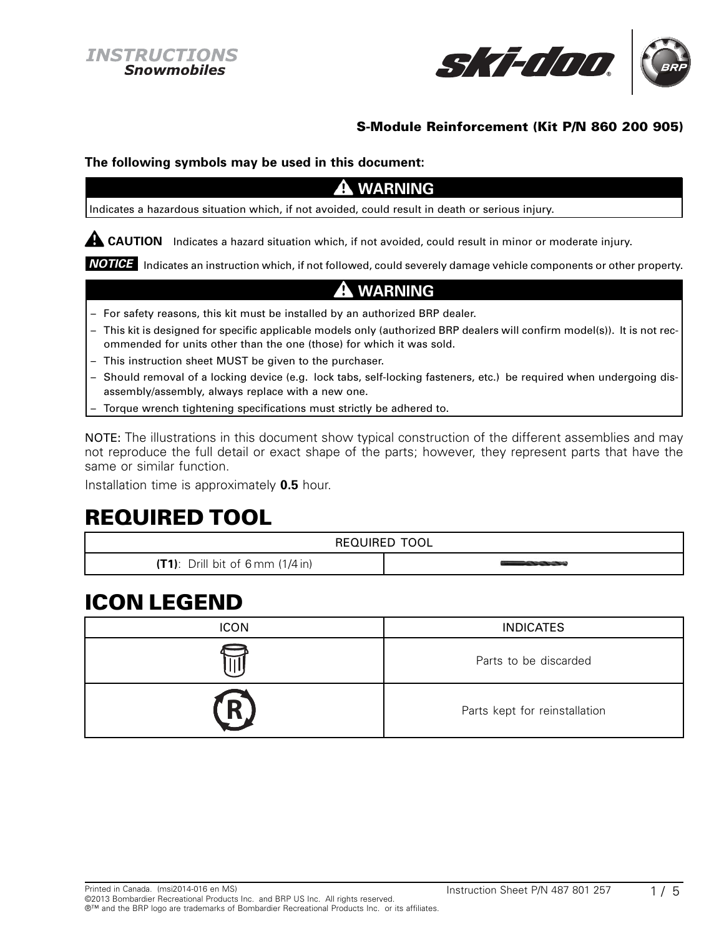

### **S-Module Reinforcement (Kit P/N 860 200 905)**

#### **The following symbols may be used in this document:**

### **WARNING**

Indicates a hazardous situation which, if not avoided, could result in death or serious injury.

**A CAUTION** Indicates a hazard situation which, if not avoided, could result in minor or moderate injury.

*NOTICE* Indicates an instruction which, if not followed, could severely damage vehicle components or other property.

## **WARNING**

- For safety reasons, this kit must be installed by an authorized BRP dealer.
- This kit is designed for specific applicable models only (authorized BRP dealers will confirm model(s)). It is not recommended for units other than the one (those) for which it was sold.
- This instruction sheet MUST be given to the purchaser.
- Should removal of a locking device (e.g. lock tabs, self-locking fasteners, etc.) be required when undergoing disassembly/assembly, always replace with a new one.
- Torque wrench tightening specifications must strictly be adhered to.

NOTE: The illustrations in this document show typical construction of the different assemblies and may not reproduce the full detail or exact shape of the parts; however, they represent parts that have the same or similar function.

Installation time is approximately **0.5** hour.

## **REQUIRED TOOL**

| REQUIRED TOOL                                 |  |  |
|-----------------------------------------------|--|--|
| $(T1)$ : Drill bit of 6 mm $(1/4 \text{ in})$ |  |  |

# **ICON LEGEND**

| <b>ICON</b> | <b>INDICATES</b>              |
|-------------|-------------------------------|
|             | Parts to be discarded         |
| ď           | Parts kept for reinstallation |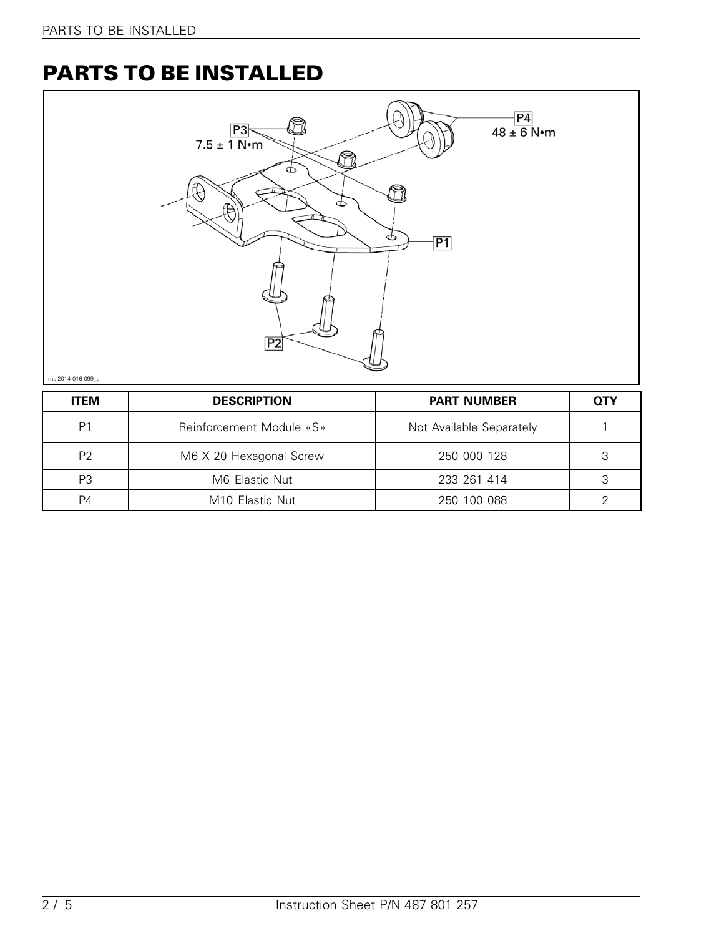# **PARTS TO BE INSTALLED**



| <b>ITEM</b>    | <b>DESCRIPTION</b>          | <b>PART NUMBER</b>       | <b>QTY</b> |
|----------------|-----------------------------|--------------------------|------------|
| P <sub>1</sub> | Reinforcement Module «S»    | Not Available Separately |            |
| P <sub>2</sub> | M6 X 20 Hexagonal Screw     | 250 000 128              | 2          |
| P <sub>3</sub> | M6 Elastic Nut              | 233 261 414              | ≏          |
| P4             | M <sub>10</sub> Elastic Nut | 250 100 088              |            |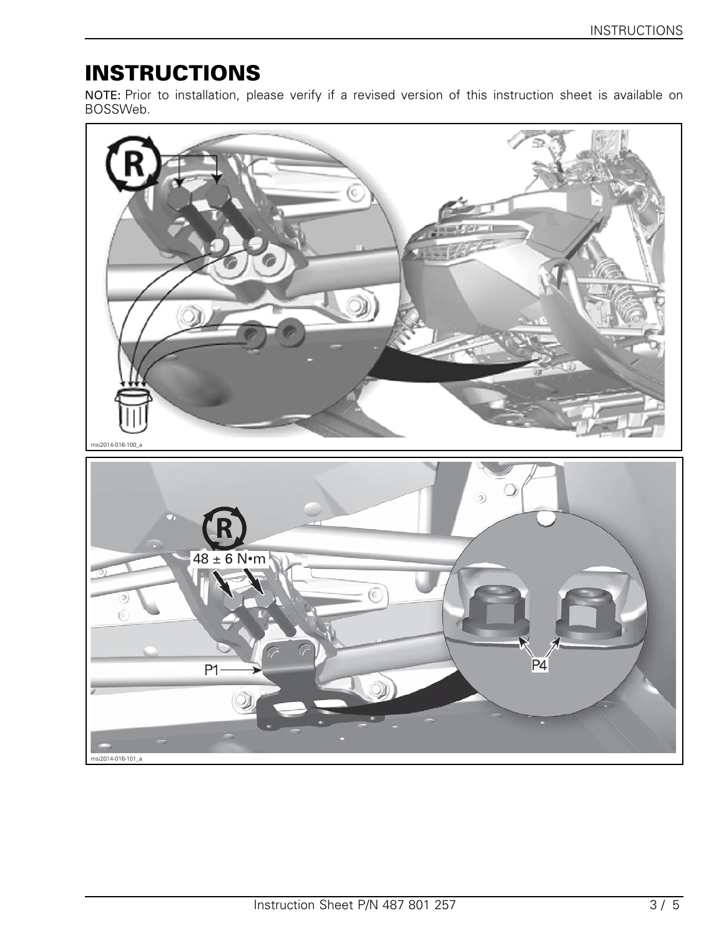# **INSTRUCTIONS**

NOTE: Prior to installation, please verify if a revised version of this instruction sheet is available on BOSSWeb.

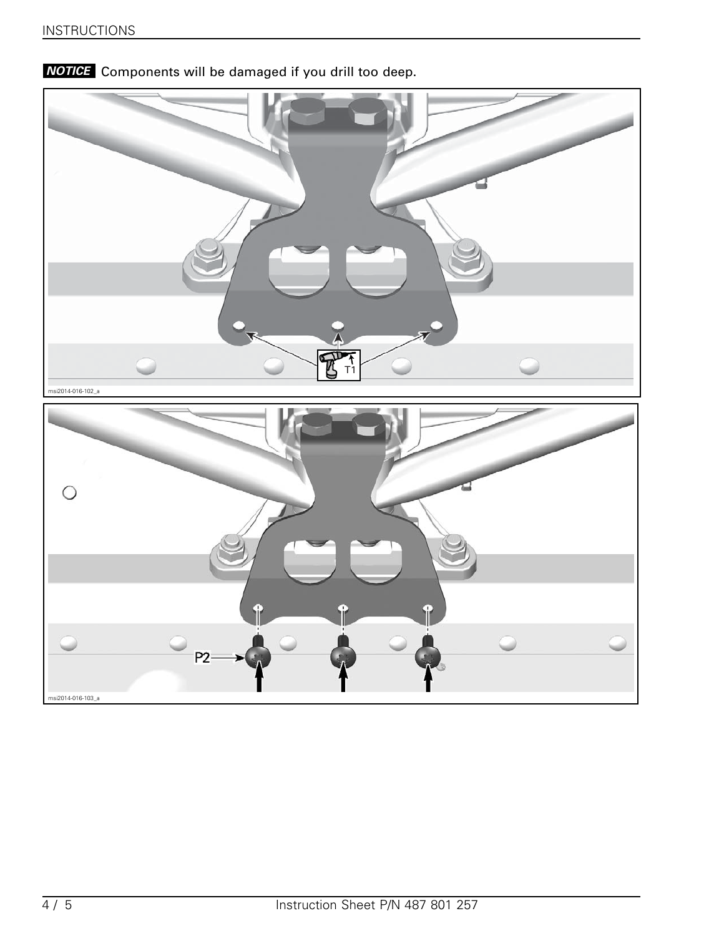

*NOTICE* Components will be damaged if you drill too deep.